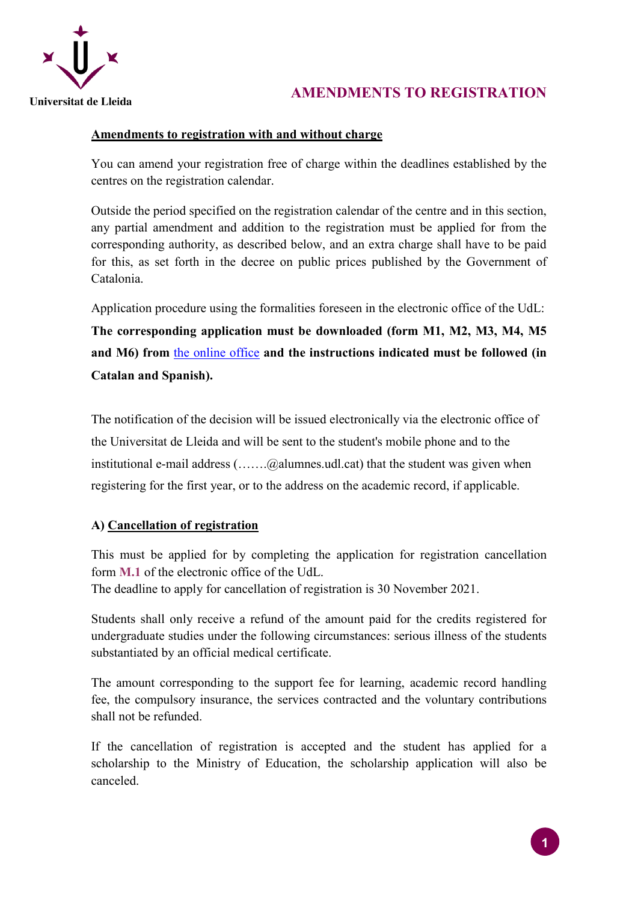

# **AMENDMENTS TO REGISTRATION**

## **Amendments to registration with and without charge**

You can amend your registration free of charge within the deadlines established by the centres on the registration calendar.

Outside the period specified on the registration calendar of the centre and in this section, any partial amendment and addition to the registration must be applied for from the corresponding authority, as described below, and an extra charge shall have to be paid for this, as set forth in the decree on public prices published by the Government of Catalonia.

Application procedure using the formalities foreseen in the electronic office of the UdL: **The corresponding application must be downloaded (form M1, M2, M3, M4, M5** 

**and M6) from** [the online office](https://seuelectronica.udl.cat/registreelectronic.php) **and the instructions indicated must be followed (in Catalan and Spanish).**

The notification of the decision will be issued electronically via the electronic office of the Universitat de Lleida and will be sent to the student's mobile phone and to the institutional e-mail address (.......@alumnes.udl.cat) that the student was given when registering for the first year, or to the address on the academic record, if applicable.

## **A) Cancellation of registration**

This must be applied for by completing the application for registration cancellation form **M.1** of the electronic office of the UdL.

The deadline to apply for cancellation of registration is 30 November 2021.

Students shall only receive a refund of the amount paid for the credits registered for undergraduate studies under the following circumstances: serious illness of the students substantiated by an official medical certificate.

The amount corresponding to the support fee for learning, academic record handling fee, the compulsory insurance, the services contracted and the voluntary contributions shall not be refunded.

If the cancellation of registration is accepted and the student has applied for a scholarship to the Ministry of Education, the scholarship application will also be canceled.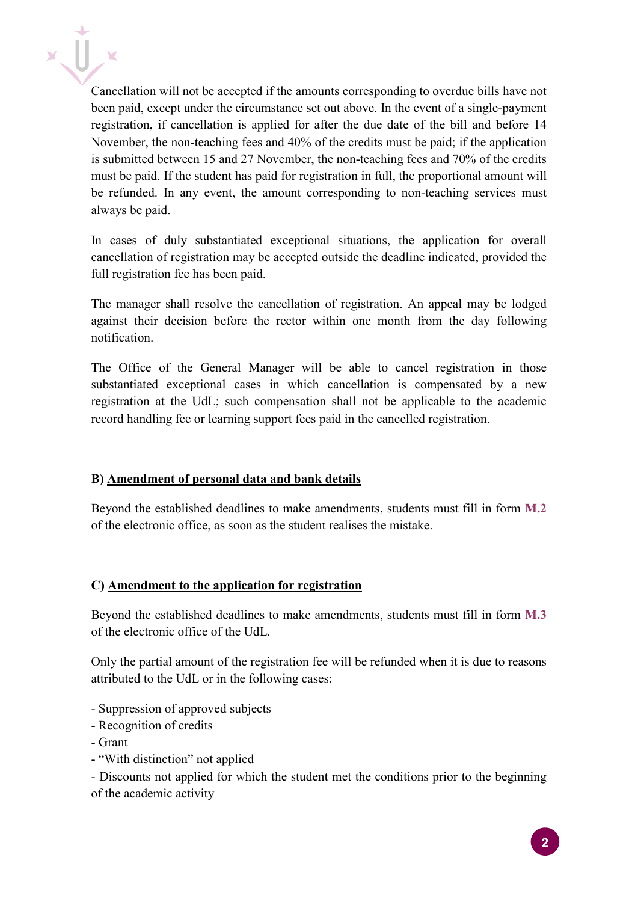Cancellation will not be accepted if the amounts corresponding to overdue bills have not been paid, except under the circumstance set out above. In the event of a single-payment registration, if cancellation is applied for after the due date of the bill and before 14 November, the non-teaching fees and 40% of the credits must be paid; if the application is submitted between 15 and 27 November, the non-teaching fees and 70% of the credits must be paid. If the student has paid for registration in full, the proportional amount will be refunded. In any event, the amount corresponding to non-teaching services must always be paid.

In cases of duly substantiated exceptional situations, the application for overall cancellation of registration may be accepted outside the deadline indicated, provided the full registration fee has been paid.

The manager shall resolve the cancellation of registration. An appeal may be lodged against their decision before the rector within one month from the day following notification.

The Office of the General Manager will be able to cancel registration in those substantiated exceptional cases in which cancellation is compensated by a new registration at the UdL; such compensation shall not be applicable to the academic record handling fee or learning support fees paid in the cancelled registration.

### **B) Amendment of personal data and bank details**

Beyond the established deadlines to make amendments, students must fill in form **M.2** of the electronic office, as soon as the student realises the mistake.

### **C) Amendment to the application for registration**

Beyond the established deadlines to make amendments, students must fill in form **M.3** of the electronic office of the UdL.

Only the partial amount of the registration fee will be refunded when it is due to reasons attributed to the UdL or in the following cases:

- Suppression of approved subjects
- Recognition of credits
- Grant
- "With distinction" not applied

- Discounts not applied for which the student met the conditions prior to the beginning of the academic activity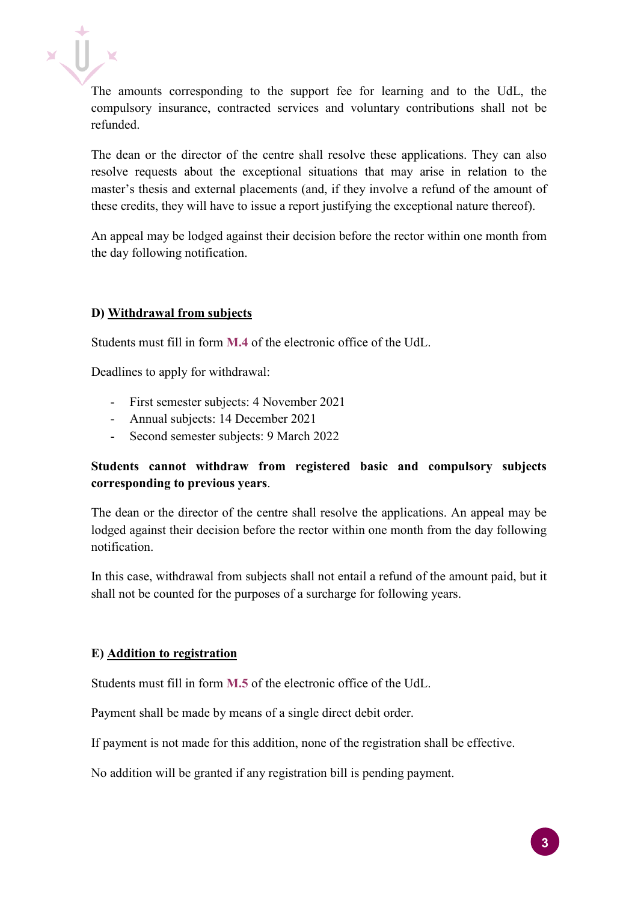The amounts corresponding to the support fee for learning and to the UdL, the compulsory insurance, contracted services and voluntary contributions shall not be refunded.

The dean or the director of the centre shall resolve these applications. They can also resolve requests about the exceptional situations that may arise in relation to the master's thesis and external placements (and, if they involve a refund of the amount of these credits, they will have to issue a report justifying the exceptional nature thereof).

An appeal may be lodged against their decision before the rector within one month from the day following notification.

### **D) Withdrawal from subjects**

Students must fill in form **M.4** of the electronic office of the UdL.

Deadlines to apply for withdrawal:

- First semester subjects: 4 November 2021
- Annual subjects: 14 December 2021
- Second semester subjects: 9 March 2022

### **Students cannot withdraw from registered basic and compulsory subjects corresponding to previous years**.

The dean or the director of the centre shall resolve the applications. An appeal may be lodged against their decision before the rector within one month from the day following notification.

In this case, withdrawal from subjects shall not entail a refund of the amount paid, but it shall not be counted for the purposes of a surcharge for following years.

#### **E) Addition to registration**

Students must fill in form **M.5** of the electronic office of the UdL.

Payment shall be made by means of a single direct debit order.

If payment is not made for this addition, none of the registration shall be effective.

No addition will be granted if any registration bill is pending payment.